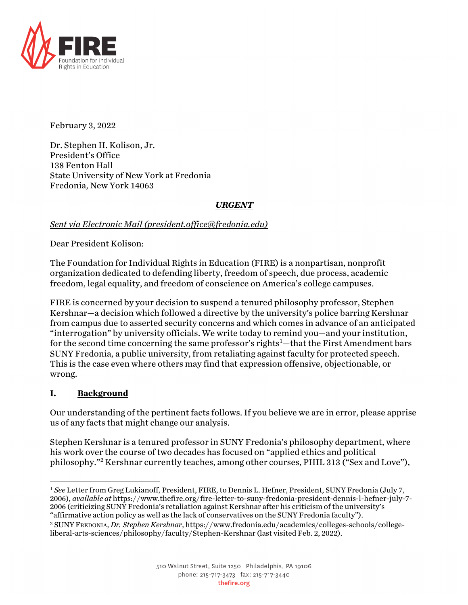

February 3, 2022

Dr. Stephen H. Kolison, Jr. President's Office 138 Fenton Hall State University of New York at Fredonia Fredonia, New York 14063

# *URGENT*

## *Sent via Electronic Mail (president.office@fredonia.edu)*

Dear President Kolison:

The Foundation for Individual Rights in Education (FIRE) is a nonpartisan, nonprofit organization dedicated to defending liberty, freedom of speech, due process, academic freedom, legal equality, and freedom of conscience on America's college campuses.

FIRE is concerned by your decision to suspend a tenured philosophy professor, Stephen Kershnar—a decision which followed a directive by the university's police barring Kershnar from campus due to asserted security concerns and which comes in advance of an anticipated "interrogation" by university officials. We write today to remind you—and your institution, for the second time concerning the same professor's rights $^1$  —that the First Amendment bars SUNY Fredonia, a public university, from retaliating against faculty for protected speech. This is the case even where others may find that expression offensive, objectionable, or wrong.

## **I. Background**

Our understanding of the pertinent facts follows. If you believe we are in error, please apprise us of any facts that might change our analysis.

Stephen Kershnar is a tenured professor in SUNY Fredonia's philosophy department, where his work over the course of two decades has focused on "applied ethics and political philosophy."<sup>2</sup> Kershnar currently teaches, among other courses, PHIL 313 ("Sex and Love"),

<sup>1</sup> *See* Letter from Greg Lukianoff, President, FIRE, to Dennis L. Hefner, President, SUNY Fredonia (July 7, 2006), *available at* https://www.thefire.org/fire-letter-to-suny-fredonia-president-dennis-l-hefner-july-7- 2006 (criticizing SUNY Fredonia's retaliation against Kershnar after his criticism of the university's "affirmative action policy as well as the lack of conservatives on the SUNY Fredonia faculty").

<sup>2</sup> SUNY FREDONIA, *Dr. Stephen Kershnar*, https://www.fredonia.edu/academics/colleges-schools/collegeliberal-arts-sciences/philosophy/faculty/Stephen-Kershnar (last visited Feb. 2, 2022).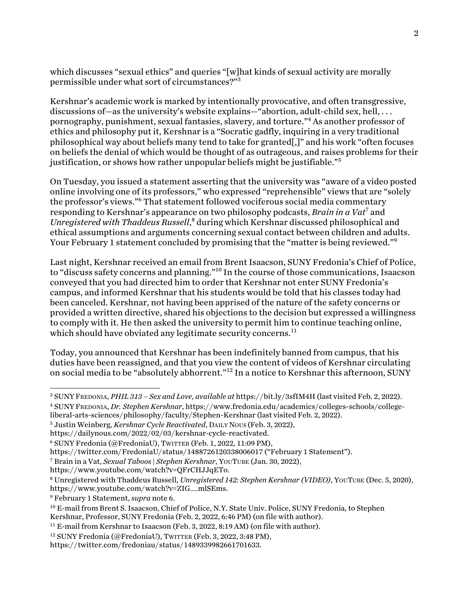which discusses "sexual ethics" and queries "[w]hat kinds of sexual activity are morally permissible under what sort of circumstances?"3

Kershnar's academic work is marked by intentionally provocative, and often transgressive, discussions of—as the university's website explains—"abortion, adult-child sex, hell, ... pornography, punishment, sexual fantasies, slavery, and torture."4 As another professor of ethics and philosophy put it, Kershnar is a "Socratic gadfly, inquiring in a very traditional philosophical way about beliefs many tend to take for granted[,]" and his work "often focuses on beliefs the denial of which would be thought of as outrageous, and raises problems for their justification, or shows how rather unpopular beliefs might be justifiable."<sup>5</sup>

On Tuesday, you issued a statement asserting that the university was "aware of a video posted online involving one of its professors," who expressed "reprehensible" views that are "solely the professor's views."6 That statement followed vociferous social media commentary responding to Kershnar's appearance on two philosophy podcasts, *Brain in a Vat*<sup>7</sup> and *Unregistered with Thaddeus Russell*, <sup>8</sup> during which Kershnar discussed philosophical and ethical assumptions and arguments concerning sexual contact between children and adults. Your February 1 statement concluded by promising that the "matter is being reviewed."

Last night, Kershnar received an email from Brent Isaacson, SUNY Fredonia's Chief of Police, to "discuss safety concerns and planning."10 In the course of those communications, Isaacson conveyed that you had directed him to order that Kershnar not enter SUNY Fredonia's campus, and informed Kershnar that his students would be told that his classes today had been canceled. Kershnar, not having been apprised of the nature of the safety concerns or provided a written directive, shared his objections to the decision but expressed a willingness to comply with it. He then asked the university to permit him to continue teaching online, which should have obviated any legitimate security concerns. $^{\rm 11}$ 

Today, you announced that Kershnar has been indefinitely banned from campus, that his duties have been reassigned, and that you view the content of videos of Kershnar circulating on social media to be "absolutely abhorrent."<sup>12</sup> In a notice to Kershnar this afternoon, SUNY

<sup>5</sup> Justin Weinberg, *Kershnar Cycle Reactivated*, DAILY NOUS (Feb. 3, 2022),

https://www.youtube.com/watch?v=QFrCHJJqETo.

<sup>3</sup> SUNY FREDONIA, *PHIL 313 – Sex and Love*, *available at* https://bit.ly/3sfIM4H (last visited Feb. 2, 2022). <sup>4</sup> SUNY FREDONIA, *Dr. Stephen Kershnar*, https://www.fredonia.edu/academics/colleges-schools/college-

liberal-arts-sciences/philosophy/faculty/Stephen-Kershnar (last visited Feb. 2, 2022).

https://dailynous.com/2022/02/03/kershnar-cycle-reactivated.

<sup>6</sup> SUNY Fredonia (@FredoniaU), TWITTER (Feb. 1, 2022, 11:09 PM),

https://twitter.com/FredoniaU/status/1488726120338006017 ("February 1 Statement").

<sup>7</sup> Brain in a Vat, *Sexual Taboos | Stephen Kershnar*, YOUTUBE (Jan. 30, 2022),

<sup>8</sup> Unregistered with Thaddeus Russell, *Unregistered 142: Stephen Kershnar (VIDEO)*, YOUTUBE (Dec. 5, 2020), https://www.youtube.com/watch?v=ZIG\_\_mlSEms.

<sup>9</sup> February 1 Statement, *supra* note 6.

<sup>&</sup>lt;sup>10</sup> E-mail from Brent S. Isaacson, Chief of Police, N.Y. State Univ. Police, SUNY Fredonia, to Stephen Kershnar, Professor, SUNY Fredonia (Feb. 2, 2022, 6:46 PM) (on file with author).

 $11$  E-mail from Kershnar to Isaacson (Feb. 3, 2022, 8:19 AM) (on file with author).

<sup>&</sup>lt;sup>12</sup> SUNY Fredonia (@FredoniaU), TWITTER (Feb. 3, 2022, 3:48 PM),

https://twitter.com/fredoniau/status/1489339982661701633.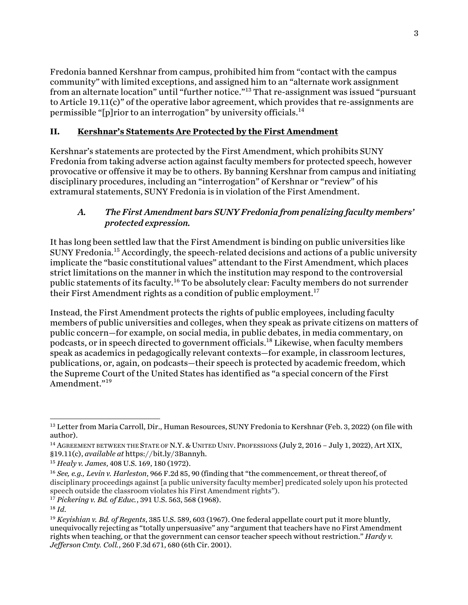Fredonia banned Kershnar from campus, prohibited him from "contact with the campus community" with limited exceptions, and assigned him to an "alternate work assignment from an alternate location" until "further notice."13 That re-assignment was issued "pursuant to Article 19.11(c)" of the operative labor agreement, which provides that re-assignments are permissible "[p]rior to an interrogation" by university officials.<sup>14</sup>

## **II. Kershnar's Statements Are Protected by the First Amendment**

Kershnar's statements are protected by the First Amendment, which prohibits SUNY Fredonia from taking adverse action against faculty members for protected speech, however provocative or offensive it may be to others. By banning Kershnar from campus and initiating disciplinary procedures, including an "interrogation" of Kershnar or "review" of his extramural statements, SUNY Fredonia is in violation of the First Amendment.

# *A. The First Amendment bars SUNY Fredonia from penalizing faculty members' protected expression.*

It has long been settled law that the First Amendment is binding on public universities like SUNY Fredonia.<sup>15</sup> Accordingly, the speech-related decisions and actions of a public university implicate the "basic constitutional values" attendant to the First Amendment, which places strict limitations on the manner in which the institution may respond to the controversial public statements of its faculty.<sup>16</sup> To be absolutely clear: Faculty members do not surrender their First Amendment rights as a condition of public employment.<sup>17</sup>

Instead, the First Amendment protects the rights of public employees, including faculty members of public universities and colleges, when they speak as private citizens on matters of public concern—for example, on social media, in public debates, in media commentary, on podcasts, or in speech directed to government officials.18 Likewise, when faculty members speak as academics in pedagogically relevant contexts—for example, in classroom lectures, publications, or, again, on podcasts—their speech is protected by academic freedom, which the Supreme Court of the United States has identified as "a special concern of the First Amendment."<sup>19</sup>

<sup>&</sup>lt;sup>13</sup> Letter from Maria Carroll, Dir., Human Resources, SUNY Fredonia to Kershnar (Feb. 3, 2022) (on file with author).

<sup>&</sup>lt;sup>14</sup> AGREEMENT BETWEEN THE STATE OF N.Y. & UNITED UNIV. PROFESSIONS (July 2, 2016 - July 1, 2022), Art XIX, §19.11(c), *available at* https://bit.ly/3Bannyh.

<sup>15</sup> *Healy v. James*, 408 U.S. 169, 180 (1972).

<sup>16</sup> *See, e.g., Levin v. Harleston*, 966 F.2d 85, 90 (finding that "the commencement, or threat thereof, of disciplinary proceedings against [a public university faculty member] predicated solely upon his protected speech outside the classroom violates his First Amendment rights").

<sup>17</sup> *Pickering v. Bd. of Educ.*, 391 U.S. 563, 568 (1968).

<sup>18</sup> *Id*.

<sup>19</sup> *Keyishian v. Bd. of Regents*, 385 U.S. 589, 603 (1967). One federal appellate court put it more bluntly, unequivocally rejecting as "totally unpersuasive" any "argument that teachers have no First Amendment rights when teaching, or that the government can censor teacher speech without restriction." *Hardy v. Jefferson Cmty. Coll.*, 260 F.3d 671, 680 (6th Cir. 2001).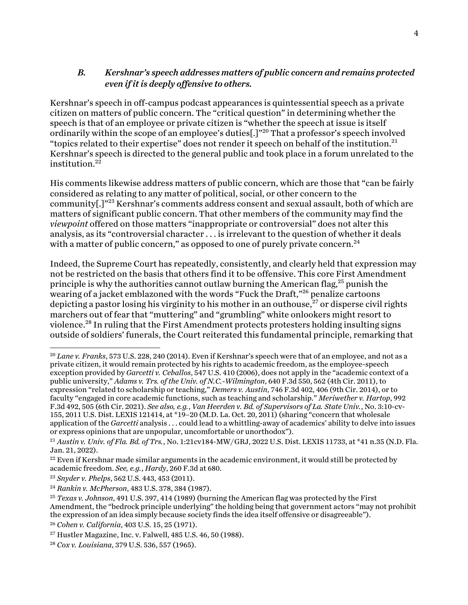## *B. Kershnar's speech addresses matters of public concern and remains protected even if it is deeply offensive to others.*

Kershnar's speech in off-campus podcast appearances is quintessential speech as a private citizen on matters of public concern. The "critical question" in determining whether the speech is that of an employee or private citizen is "whether the speech at issue is itself ordinarily within the scope of an employee's duties[.]"<sup>20</sup> That a professor's speech involved "topics related to their expertise" does not render it speech on behalf of the institution.<sup>21</sup> Kershnar's speech is directed to the general public and took place in a forum unrelated to the institution. 22

His comments likewise address matters of public concern, which are those that "can be fairly considered as relating to any matter of political, social, or other concern to the community[.]"23 Kershnar's comments address consent and sexual assault, both of which are matters of significant public concern. That other members of the community may find the *viewpoint* offered on those matters "inappropriate or controversial" does not alter this analysis, as its "controversial character . . . is irrelevant to the question of whether it deals with a matter of public concern," as opposed to one of purely private concern.<sup>24</sup>

Indeed, the Supreme Court has repeatedly, consistently, and clearly held that expression may not be restricted on the basis that others find it to be offensive. This core First Amendment principle is why the authorities cannot outlaw burning the American flag,  $25$  punish the wearing of a jacket emblazoned with the words "Fuck the Draft,"26 penalize cartoons depicting a pastor losing his virginity to his mother in an outhouse, $^{27}$  or disperse civil rights marchers out of fear that "muttering" and "grumbling" white onlookers might resort to violence.28 In ruling that the First Amendment protects protesters holding insulting signs outside of soldiers' funerals, the Court reiterated this fundamental principle, remarking that

<sup>20</sup> *Lane v. Franks*, 573 U.S. 228, 240 (2014). Even if Kershnar's speech were that of an employee, and not as a private citizen, it would remain protected by his rights to academic freedom, as the employee-speech exception provided by *Garcetti v. Ceballos*, 547 U.S. 410 (2006), does not apply in the "academic context of a public university," *Adams v. Trs. of the Univ. of N.C.-Wilmington*, 640 F.3d 550, 562 (4th Cir. 2011), to expression "related to scholarship or teaching," *Demers v. Austin*, 746 F.3d 402, 406 (9th Cir. 2014), or to faculty "engaged in core academic functions, such as teaching and scholarship." *Meriwether v. Hartop*, 992 F.3d 492, 505 (6th Cir. 2021). *See also, e.g.*, *Van Heerden v. Bd. of Supervisors of La. State Univ.*, No. 3:10-cv-155, 2011 U.S. Dist. LEXIS 121414, at \*19–20 (M.D. La. Oct. 20, 2011) (sharing "concern that wholesale application of the *Garcetti* analysis . . . could lead to a whittling-away of academics' ability to delve into issues or express opinions that are unpopular, uncomfortable or unorthodox").

<sup>21</sup> *Austin v. Univ. of Fla. Bd. of Trs.*, No. 1:21cv184-MW/GRJ, 2022 U.S. Dist. LEXIS 11733, at \*41 n.35 (N.D. Fla. Jan. 21, 2022).

 $22$  Even if Kershnar made similar arguments in the academic environment, it would still be protected by academic freedom. *See, e.g.*, *Hardy*, 260 F.3d at 680.

<sup>23</sup> *Snyder v. Phelps*, 562 U.S. 443, 453 (2011).

<sup>24</sup> *Rankin v. McPherson*, 483 U.S. 378, 384 (1987).

<sup>25</sup> *Texas v. Johnson*, 491 U.S. 397, 414 (1989) (burning the American flag was protected by the First Amendment, the "bedrock principle underlying" the holding being that government actors "may not prohibit the expression of an idea simply because society finds the idea itself offensive or disagreeable").

<sup>26</sup> *Cohen v. California*, 403 U.S. 15, 25 (1971).

<sup>27</sup> Hustler Magazine, Inc. v. Falwell, 485 U.S. 46, 50 (1988).

<sup>28</sup> *Cox v. Louisiana*, 379 U.S. 536, 557 (1965).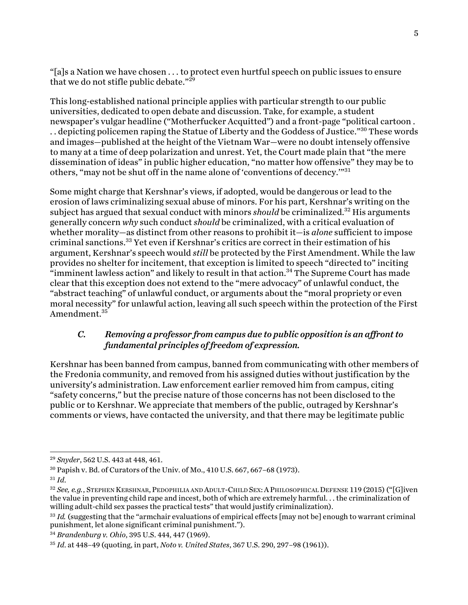"[a]s a Nation we have chosen . . . to protect even hurtful speech on public issues to ensure that we do not stifle public debate." $2^{29}$ 

This long-established national principle applies with particular strength to our public universities, dedicated to open debate and discussion. Take, for example, a student newspaper's vulgar headline ("Motherfucker Acquitted") and a front-page "political cartoon . .. depicting policemen raping the Statue of Liberty and the Goddess of Justice."<sup>30</sup> These words and images—published at the height of the Vietnam War—were no doubt intensely offensive to many at a time of deep polarization and unrest. Yet, the Court made plain that "the mere dissemination of ideas" in public higher education, "no matter how offensive" they may be to others, "may not be shut off in the name alone of 'conventions of decency.'"<sup>31</sup>

Some might charge that Kershnar's views, if adopted, would be dangerous or lead to the erosion of laws criminalizing sexual abuse of minors. For his part, Kershnar's writing on the subject has argued that sexual conduct with minors *should* be criminalized. <sup>32</sup> His arguments generally concern *why* such conduct *should* be criminalized, with a critical evaluation of whether morality—as distinct from other reasons to prohibit it—is *alone* sufficient to impose criminal sanctions.33 Yet even if Kershnar's critics are correct in their estimation of his argument, Kershnar's speech would *still* be protected by the First Amendment. While the law provides no shelter for incitement, that exception is limited to speech "directed to" inciting "imminent lawless action" and likely to result in that action.<sup>34</sup> The Supreme Court has made clear that this exception does not extend to the "mere advocacy" of unlawful conduct, the "abstract teaching" of unlawful conduct, or arguments about the "moral propriety or even moral necessity" for unlawful action, leaving all such speech within the protection of the First Amendment.<sup>35</sup>

# *C. Removing a professor from campus due to public opposition is an affront to fundamental principles of freedom of expression.*

Kershnar has been banned from campus, banned from communicating with other members of the Fredonia community, and removed from his assigned duties without justification by the university's administration. Law enforcement earlier removed him from campus, citing "safety concerns," but the precise nature of those concerns has not been disclosed to the public or to Kershnar. We appreciate that members of the public, outraged by Kershnar's comments or views, have contacted the university, and that there may be legitimate public

<sup>29</sup> *Snyder*, 562 U.S. 443 at 448, 461.

<sup>30</sup> Papish v. Bd. of Curators of the Univ. of Mo., 410 U.S. 667, 667–68 (1973).

<sup>31</sup> *Id*.

<sup>&</sup>lt;sup>32</sup> See, e.g., Stephen Kershnar, Pedophilia and Adult-Child Sex; A Philosophical Defense 119 (2015) ("[G]iven the value in preventing child rape and incest, both of which are extremely harmful. . . the criminalization of willing adult-child sex passes the practical tests" that would justify criminalization).

<sup>&</sup>lt;sup>33</sup> *Id.* (suggesting that the "armchair evaluations of empirical effects [may not be] enough to warrant criminal punishment, let alone significant criminal punishment.").

<sup>34</sup> *Brandenburg v. Ohio*, 395 U.S. 444, 447 (1969).

<sup>35</sup> *Id*. at 448–49 (quoting, in part, *Noto v. United States*, 367 U.S. 290, 297–98 (1961)).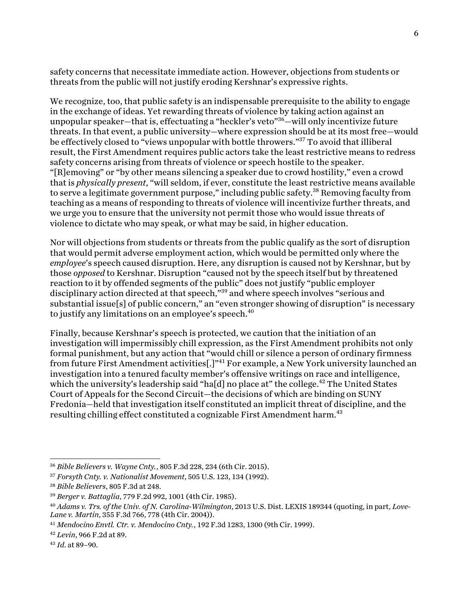safety concerns that necessitate immediate action. However, objections from students or threats from the public will not justify eroding Kershnar's expressive rights.

We recognize, too, that public safety is an indispensable prerequisite to the ability to engage in the exchange of ideas. Yet rewarding threats of violence by taking action against an unpopular speaker—that is, effectuating a "heckler's veto"<sup>36</sup>—will only incentivize future threats. In that event, a public university—where expression should be at its most free—would be effectively closed to "views unpopular with bottle throwers."37 To avoid that illiberal result, the First Amendment requires public actors take the least restrictive means to redress safety concerns arising from threats of violence or speech hostile to the speaker. "[R]emoving" or "by other means silencing a speaker due to crowd hostility," even a crowd that is *physically present*, "will seldom, if ever, constitute the least restrictive means available to serve a legitimate government purpose," including public safety.<sup>38</sup> Removing faculty from teaching as a means of responding to threats of violence will incentivize further threats, and we urge you to ensure that the university not permit those who would issue threats of violence to dictate who may speak, or what may be said, in higher education.

Nor will objections from students or threats from the public qualify as the sort of disruption that would permit adverse employment action, which would be permitted only where the *employee*'s speech caused disruption. Here, any disruption is caused not by Kershnar, but by those *opposed* to Kershnar. Disruption "caused not by the speech itself but by threatened reaction to it by offended segments of the public" does not justify "public employer disciplinary action directed at that speech,"<sup>39</sup> and where speech involves "serious and substantial issue[s] of public concern," an "even stronger showing of disruption" is necessary to justify any limitations on an employee's speech.<sup>40</sup>

Finally, because Kershnar's speech is protected, we caution that the initiation of an investigation will impermissibly chill expression, as the First Amendment prohibits not only formal punishment, but any action that "would chill or silence a person of ordinary firmness from future First Amendment activities[.]"<sup>41</sup> For example, a New York university launched an investigation into a tenured faculty member's offensive writings on race and intelligence, which the university's leadership said "ha[d] no place at" the college. $^{42}$  The United States Court of Appeals for the Second Circuit—the decisions of which are binding on SUNY Fredonia—held that investigation itself constituted an implicit threat of discipline, and the resulting chilling effect constituted a cognizable First Amendment harm.<sup>43</sup>

<sup>36</sup> *Bible Believers v. Wayne Cnty.*, 805 F.3d 228, 234 (6th Cir. 2015).

<sup>37</sup> *Forsyth Cnty. v. Nationalist Movement*, 505 U.S. 123, 134 (1992).

<sup>38</sup> *Bible Believers*, 805 F.3d at 248.

<sup>39</sup> *Berger v. Battaglia*, 779 F.2d 992, 1001 (4th Cir. 1985).

<sup>40</sup> *Adams v. Trs. of the Univ. of N. Carolina-Wilmington*, 2013 U.S. Dist. LEXIS 189344 (quoting, in part, *Love-Lane v. Martin*, 355 F.3d 766, 778 (4th Cir. 2004)).

<sup>41</sup> *Mendocino Envtl. Ctr. v. Mendocino Cnty.*, 192 F.3d 1283, 1300 (9th Cir. 1999).

<sup>42</sup> *Levin*, 966 F.2d at 89.

<sup>43</sup> *Id*. at 89–90.